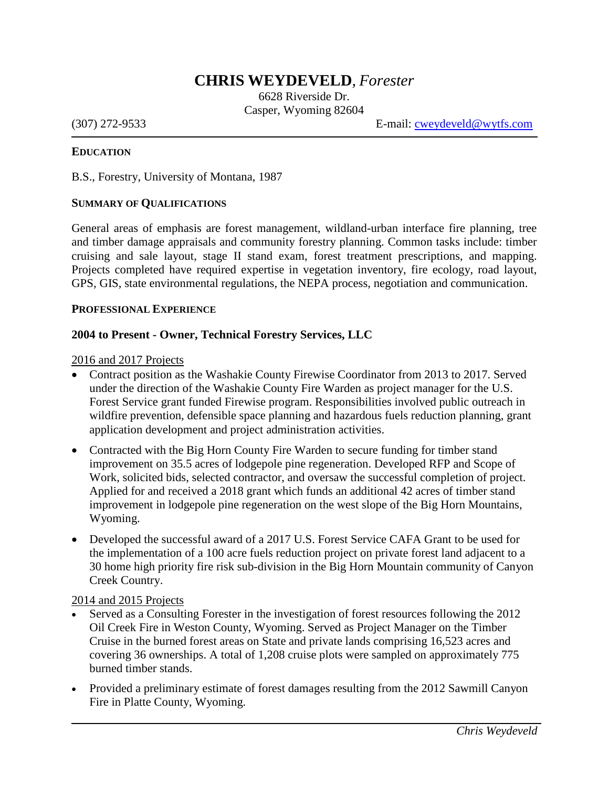# **CHRIS WEYDEVELD***, Forester*

6628 Riverside Dr. Casper, Wyoming 82604

(307) 272-9533 E-mail:  $cweydeveld@wytfs.com$ 

#### **EDUCATION**

B.S., Forestry, University of Montana, 1987

#### **SUMMARY OF QUALIFICATIONS**

General areas of emphasis are forest management, wildland-urban interface fire planning, tree and timber damage appraisals and community forestry planning. Common tasks include: timber cruising and sale layout, stage II stand exam, forest treatment prescriptions, and mapping. Projects completed have required expertise in vegetation inventory, fire ecology, road layout, GPS, GIS, state environmental regulations, the NEPA process, negotiation and communication.

#### **PROFESSIONAL EXPERIENCE**

#### **2004 to Present - Owner, Technical Forestry Services, LLC**

#### 2016 and 2017 Projects

- Contract position as the Washakie County Firewise Coordinator from 2013 to 2017. Served under the direction of the Washakie County Fire Warden as project manager for the U.S. Forest Service grant funded Firewise program. Responsibilities involved public outreach in wildfire prevention, defensible space planning and hazardous fuels reduction planning, grant application development and project administration activities.
- Contracted with the Big Horn County Fire Warden to secure funding for timber stand improvement on 35.5 acres of lodgepole pine regeneration. Developed RFP and Scope of Work, solicited bids, selected contractor, and oversaw the successful completion of project. Applied for and received a 2018 grant which funds an additional 42 acres of timber stand improvement in lodgepole pine regeneration on the west slope of the Big Horn Mountains, Wyoming.
- Developed the successful award of a 2017 U.S. Forest Service CAFA Grant to be used for the implementation of a 100 acre fuels reduction project on private forest land adjacent to a 30 home high priority fire risk sub-division in the Big Horn Mountain community of Canyon Creek Country.

#### 2014 and 2015 Projects

- Served as a Consulting Forester in the investigation of forest resources following the 2012 Oil Creek Fire in Weston County, Wyoming. Served as Project Manager on the Timber Cruise in the burned forest areas on State and private lands comprising 16,523 acres and covering 36 ownerships. A total of 1,208 cruise plots were sampled on approximately 775 burned timber stands.
- Provided a preliminary estimate of forest damages resulting from the 2012 Sawmill Canyon Fire in Platte County, Wyoming.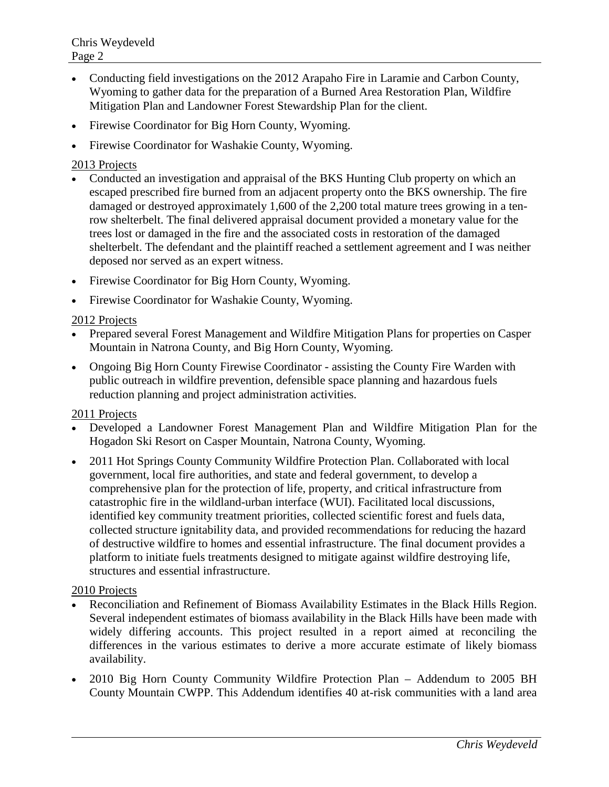- Conducting field investigations on the 2012 Arapaho Fire in Laramie and Carbon County, Wyoming to gather data for the preparation of a Burned Area Restoration Plan, Wildfire Mitigation Plan and Landowner Forest Stewardship Plan for the client.
- Firewise Coordinator for Big Horn County, Wyoming.
- Firewise Coordinator for Washakie County, Wyoming.

# 2013 Projects

- Conducted an investigation and appraisal of the BKS Hunting Club property on which an escaped prescribed fire burned from an adjacent property onto the BKS ownership. The fire damaged or destroyed approximately 1,600 of the 2,200 total mature trees growing in a tenrow shelterbelt. The final delivered appraisal document provided a monetary value for the trees lost or damaged in the fire and the associated costs in restoration of the damaged shelterbelt. The defendant and the plaintiff reached a settlement agreement and I was neither deposed nor served as an expert witness.
- Firewise Coordinator for Big Horn County, Wyoming.
- Firewise Coordinator for Washakie County, Wyoming.

# 2012 Projects

- Prepared several Forest Management and Wildfire Mitigation Plans for properties on Casper Mountain in Natrona County, and Big Horn County, Wyoming.
- Ongoing Big Horn County Firewise Coordinator assisting the County Fire Warden with public outreach in wildfire prevention, defensible space planning and hazardous fuels reduction planning and project administration activities.

### 2011 Projects

- Developed a Landowner Forest Management Plan and Wildfire Mitigation Plan for the Hogadon Ski Resort on Casper Mountain, Natrona County, Wyoming.
- 2011 Hot Springs County Community Wildfire Protection Plan. Collaborated with local government, local fire authorities, and state and federal government, to develop a comprehensive plan for the protection of life, property, and critical infrastructure from catastrophic fire in the wildland-urban interface (WUI). Facilitated local discussions, identified key community treatment priorities, collected scientific forest and fuels data, collected structure ignitability data, and provided recommendations for reducing the hazard of destructive wildfire to homes and essential infrastructure. The final document provides a platform to initiate fuels treatments designed to mitigate against wildfire destroying life, structures and essential infrastructure.

### 2010 Projects

- Reconciliation and Refinement of Biomass Availability Estimates in the Black Hills Region. Several independent estimates of biomass availability in the Black Hills have been made with widely differing accounts. This project resulted in a report aimed at reconciling the differences in the various estimates to derive a more accurate estimate of likely biomass availability.
- 2010 Big Horn County Community Wildfire Protection Plan Addendum to 2005 BH County Mountain CWPP. This Addendum identifies 40 at-risk communities with a land area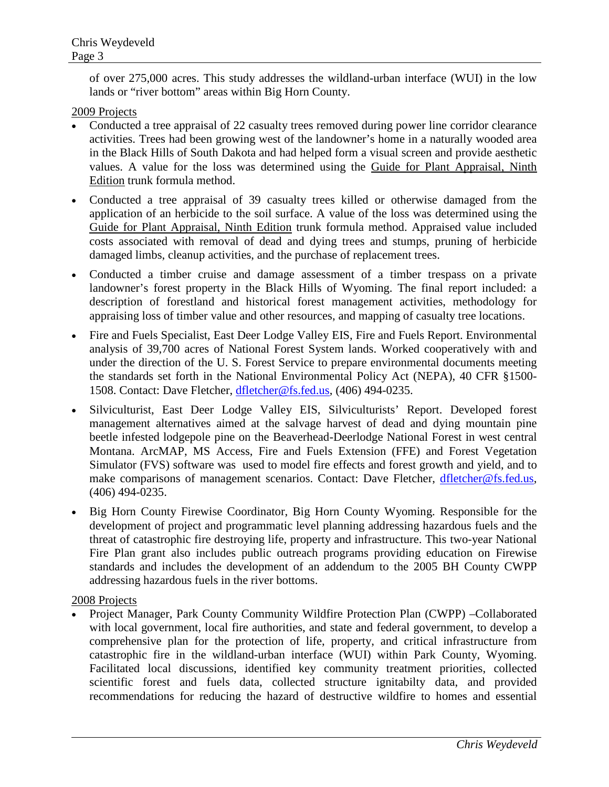of over 275,000 acres. This study addresses the wildland-urban interface (WUI) in the low lands or "river bottom" areas within Big Horn County.

# 2009 Projects

- Conducted a tree appraisal of 22 casualty trees removed during power line corridor clearance activities. Trees had been growing west of the landowner's home in a naturally wooded area in the Black Hills of South Dakota and had helped form a visual screen and provide aesthetic values. A value for the loss was determined using the Guide for Plant Appraisal, Ninth Edition trunk formula method.
- Conducted a tree appraisal of 39 casualty trees killed or otherwise damaged from the application of an herbicide to the soil surface. A value of the loss was determined using the Guide for Plant Appraisal, Ninth Edition trunk formula method. Appraised value included costs associated with removal of dead and dying trees and stumps, pruning of herbicide damaged limbs, cleanup activities, and the purchase of replacement trees.
- Conducted a timber cruise and damage assessment of a timber trespass on a private landowner's forest property in the Black Hills of Wyoming. The final report included: a description of forestland and historical forest management activities, methodology for appraising loss of timber value and other resources, and mapping of casualty tree locations.
- Fire and Fuels Specialist, East Deer Lodge Valley EIS, Fire and Fuels Report. Environmental analysis of 39,700 acres of National Forest System lands. Worked cooperatively with and under the direction of the U. S. Forest Service to prepare environmental documents meeting the standards set forth in the National Environmental Policy Act (NEPA), 40 CFR §1500- 1508. Contact: Dave Fletcher, [dfletcher@fs.fed.us,](mailto:dfletcher@fs.fed.us) (406) 494-0235.
- Silviculturist, East Deer Lodge Valley EIS, Silviculturists' Report. Developed forest management alternatives aimed at the salvage harvest of dead and dying mountain pine beetle infested lodgepole pine on the Beaverhead-Deerlodge National Forest in west central Montana. ArcMAP, MS Access, Fire and Fuels Extension (FFE) and Forest Vegetation Simulator (FVS) software was used to model fire effects and forest growth and yield, and to make comparisons of management scenarios. Contact: Dave Fletcher, [dfletcher@fs.fed.us,](mailto:dfletcher@fs.fed.us) (406) 494-0235.
- Big Horn County Firewise Coordinator, Big Horn County Wyoming. Responsible for the development of project and programmatic level planning addressing hazardous fuels and the threat of catastrophic fire destroying life, property and infrastructure. This two-year National Fire Plan grant also includes public outreach programs providing education on Firewise standards and includes the development of an addendum to the 2005 BH County CWPP addressing hazardous fuels in the river bottoms.

### 2008 Projects

• Project Manager, Park County Community Wildfire Protection Plan (CWPP) –Collaborated with local government, local fire authorities, and state and federal government, to develop a comprehensive plan for the protection of life, property, and critical infrastructure from catastrophic fire in the wildland-urban interface (WUI) within Park County, Wyoming. Facilitated local discussions, identified key community treatment priorities, collected scientific forest and fuels data, collected structure ignitabilty data, and provided recommendations for reducing the hazard of destructive wildfire to homes and essential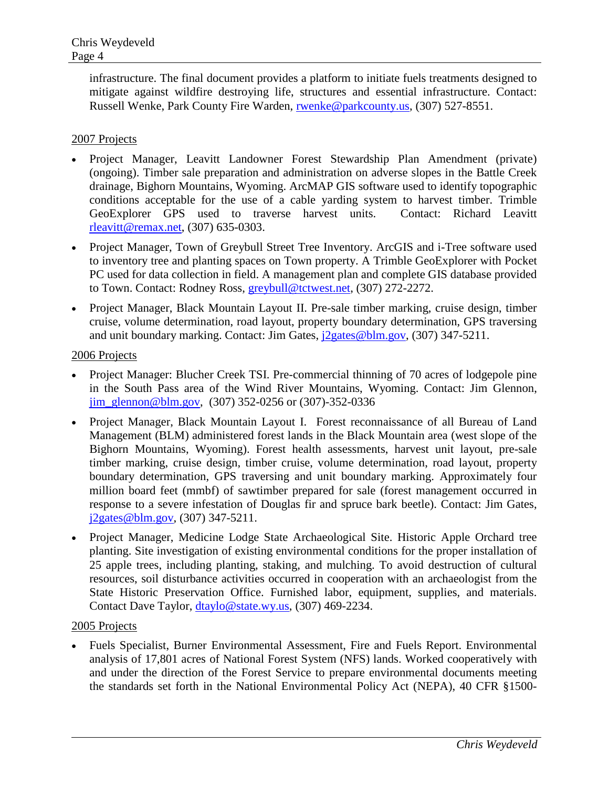infrastructure. The final document provides a platform to initiate fuels treatments designed to mitigate against wildfire destroying life, structures and essential infrastructure. Contact: Russell Wenke, Park County Fire Warden, [rwenke@parkcounty.us,](mailto:rwenke@parkcounty.us) (307) 527-8551.

# 2007 Projects

- Project Manager, Leavitt Landowner Forest Stewardship Plan Amendment (private) (ongoing). Timber sale preparation and administration on adverse slopes in the Battle Creek drainage, Bighorn Mountains, Wyoming. ArcMAP GIS software used to identify topographic conditions acceptable for the use of a cable yarding system to harvest timber. Trimble GeoExplorer GPS used to traverse harvest units. Contact: Richard Leavitt [rleavitt@remax.net,](mailto:rleavitt@remax.net) (307) 635-0303.
- Project Manager, Town of Greybull Street Tree Inventory. ArcGIS and i-Tree software used to inventory tree and planting spaces on Town property. A Trimble GeoExplorer with Pocket PC used for data collection in field. A management plan and complete GIS database provided to Town. Contact: Rodney Ross, [greybull@tctwest.net,](mailto:greybull@tctwest.net) (307) 272-2272.
- Project Manager, Black Mountain Layout II. Pre-sale timber marking, cruise design, timber cruise, volume determination, road layout, property boundary determination, GPS traversing and unit boundary marking. Contact: Jim Gates,  $i2$ gates@blm.gov, (307) 347-5211.

### 2006 Projects

- Project Manager: Blucher Creek TSI. Pre-commercial thinning of 70 acres of lodgepole pine in the South Pass area of the Wind River Mountains, Wyoming. Contact: Jim Glennon, [jim\\_glennon@blm.gov,](mailto:jim_glennon@blm.gov) (307) 352-0256 or (307)-352-0336
- Project Manager, Black Mountain Layout I. Forest reconnaissance of all Bureau of Land Management (BLM) administered forest lands in the Black Mountain area (west slope of the Bighorn Mountains, Wyoming). Forest health assessments, harvest unit layout, pre-sale timber marking, cruise design, timber cruise, volume determination, road layout, property boundary determination, GPS traversing and unit boundary marking. Approximately four million board feet (mmbf) of sawtimber prepared for sale (forest management occurred in response to a severe infestation of Douglas fir and spruce bark beetle). Contact: Jim Gates, [j2gates@blm.gov,](mailto:j2gates@blm.gov) (307) 347-5211.
- Project Manager, Medicine Lodge State Archaeological Site. Historic Apple Orchard tree planting. Site investigation of existing environmental conditions for the proper installation of 25 apple trees, including planting, staking, and mulching. To avoid destruction of cultural resources, soil disturbance activities occurred in cooperation with an archaeologist from the State Historic Preservation Office. Furnished labor, equipment, supplies, and materials. Contact Dave Taylor, [dtaylo@state.wy.us,](mailto:dtaylo@state.wy.us) (307) 469-2234.

### 2005 Projects

• Fuels Specialist, Burner Environmental Assessment, Fire and Fuels Report. Environmental analysis of 17,801 acres of National Forest System (NFS) lands. Worked cooperatively with and under the direction of the Forest Service to prepare environmental documents meeting the standards set forth in the National Environmental Policy Act (NEPA), 40 CFR §1500-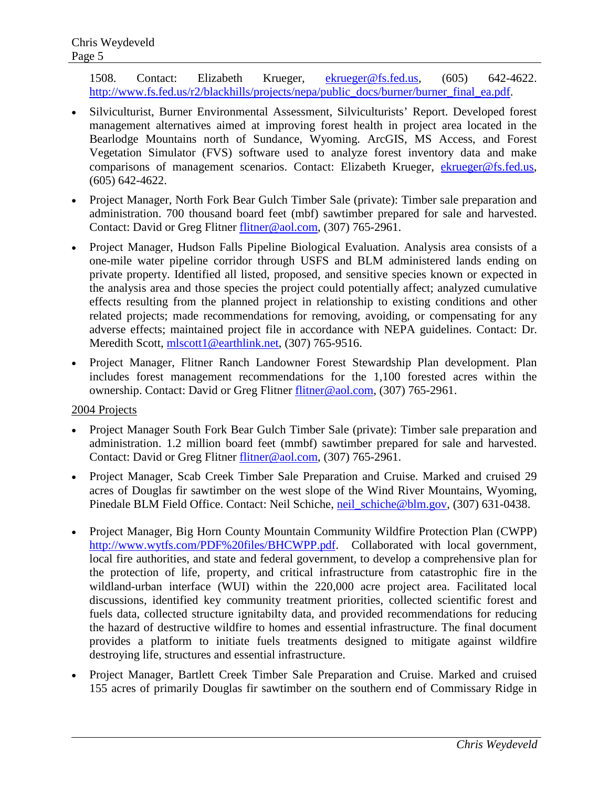1508. Contact: Elizabeth Krueger, [ekrueger@fs.fed.us,](mailto:ekrueger@fs.fed.us) (605) 642-4622. [http://www.fs.fed.us/r2/blackhills/projects/nepa/public\\_docs/burner/burner\\_final\\_ea.pdf.](http://www.fs.fed.us/r2/blackhills/projects/nepa/public_docs/burner/burner_final_ea.pdf)

- Silviculturist, Burner Environmental Assessment, Silviculturists' Report. Developed forest management alternatives aimed at improving forest health in project area located in the Bearlodge Mountains north of Sundance, Wyoming. ArcGIS, MS Access, and Forest Vegetation Simulator (FVS) software used to analyze forest inventory data and make comparisons of management scenarios. Contact: Elizabeth Krueger, [ekrueger@fs.fed.us,](mailto:ekrueger@fs.fed.us) (605) 642-4622.
- Project Manager, North Fork Bear Gulch Timber Sale (private): Timber sale preparation and administration. 700 thousand board feet (mbf) sawtimber prepared for sale and harvested. Contact: David or Greg Flitner [flitner@aol.com,](mailto:flitner@aol.com) (307) 765-2961.
- Project Manager, Hudson Falls Pipeline Biological Evaluation. Analysis area consists of a one-mile water pipeline corridor through USFS and BLM administered lands ending on private property. Identified all listed, proposed, and sensitive species known or expected in the analysis area and those species the project could potentially affect; analyzed cumulative effects resulting from the planned project in relationship to existing conditions and other related projects; made recommendations for removing, avoiding, or compensating for any adverse effects; maintained project file in accordance with NEPA guidelines. Contact: Dr. Meredith Scott, [mlscott1@earthlink.net,](mailto:mlscott1@earthlink.net) (307) 765-9516.
- Project Manager, Flitner Ranch Landowner Forest Stewardship Plan development. Plan includes forest management recommendations for the 1,100 forested acres within the ownership. Contact: David or Greg Flitner [flitner@aol.com,](mailto:flitner@aol.com) (307) 765-2961.

# 2004 Projects

- Project Manager South Fork Bear Gulch Timber Sale (private): Timber sale preparation and administration. 1.2 million board feet (mmbf) sawtimber prepared for sale and harvested. Contact: David or Greg Flitner [flitner@aol.com,](mailto:flitner@aol.com) (307) 765-2961.
- Project Manager, Scab Creek Timber Sale Preparation and Cruise. Marked and cruised 29 acres of Douglas fir sawtimber on the west slope of the Wind River Mountains, Wyoming, Pinedale BLM Field Office. Contact: Neil Schiche, neil schiche@blm.gov, (307) 631-0438.
- Project Manager, Big Horn County Mountain Community Wildfire Protection Plan (CWPP) [http://www.wytfs.com/PDF%20files/BHCWPP.pdf.](http://www.wytfs.com/PDF%20files/BHCWPP.pdf) Collaborated with local government, local fire authorities, and state and federal government, to develop a comprehensive plan for the protection of life, property, and critical infrastructure from catastrophic fire in the wildland-urban interface (WUI) within the 220,000 acre project area. Facilitated local discussions, identified key community treatment priorities, collected scientific forest and fuels data, collected structure ignitabilty data, and provided recommendations for reducing the hazard of destructive wildfire to homes and essential infrastructure. The final document provides a platform to initiate fuels treatments designed to mitigate against wildfire destroying life, structures and essential infrastructure.
- Project Manager, Bartlett Creek Timber Sale Preparation and Cruise. Marked and cruised 155 acres of primarily Douglas fir sawtimber on the southern end of Commissary Ridge in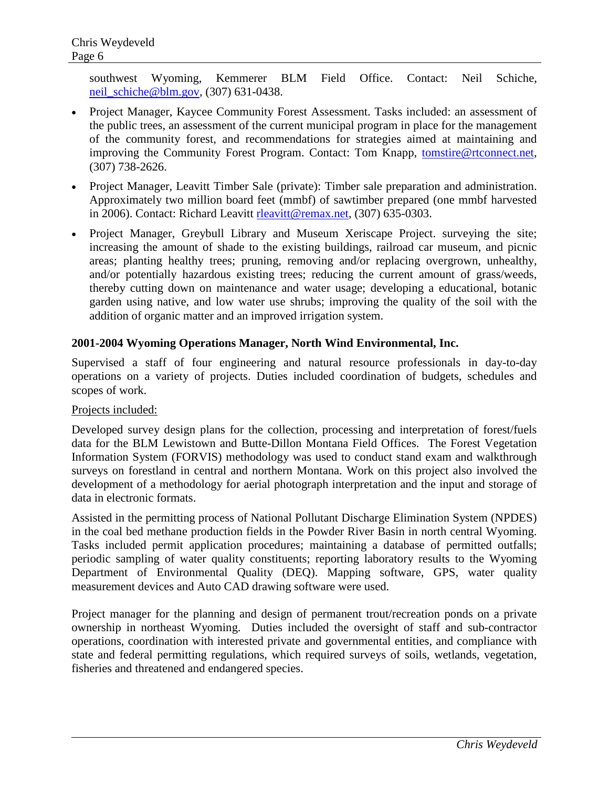southwest Wyoming, Kemmerer BLM Field Office. Contact: Neil Schiche, [neil\\_schiche@blm.gov,](mailto:neil_schiche@blm.gov) (307) 631-0438.

- Project Manager, Kaycee Community Forest Assessment. Tasks included: an assessment of the public trees, an assessment of the current municipal program in place for the management of the community forest, and recommendations for strategies aimed at maintaining and improving the Community Forest Program. Contact: Tom Knapp, [tomstire@rtconnect.net,](mailto:tomstire@rtconnect.net) (307) 738-2626.
- Project Manager, Leavitt Timber Sale (private): Timber sale preparation and administration. Approximately two million board feet (mmbf) of sawtimber prepared (one mmbf harvested in 2006). Contact: Richard Leavitt [rleavitt@remax.net,](mailto:rleavitt@remax.net) (307) 635-0303.
- Project Manager, Greybull Library and Museum Xeriscape Project. surveying the site; increasing the amount of shade to the existing buildings, railroad car museum, and picnic areas; planting healthy trees; pruning, removing and/or replacing overgrown, unhealthy, and/or potentially hazardous existing trees; reducing the current amount of grass/weeds, thereby cutting down on maintenance and water usage; developing a educational, botanic garden using native, and low water use shrubs; improving the quality of the soil with the addition of organic matter and an improved irrigation system.

# **2001-2004 Wyoming Operations Manager, North Wind Environmental, Inc.**

Supervised a staff of four engineering and natural resource professionals in day-to-day operations on a variety of projects. Duties included coordination of budgets, schedules and scopes of work.

### Projects included:

Developed survey design plans for the collection, processing and interpretation of forest/fuels data for the BLM Lewistown and Butte-Dillon Montana Field Offices. The Forest Vegetation Information System (FORVIS) methodology was used to conduct stand exam and walkthrough surveys on forestland in central and northern Montana. Work on this project also involved the development of a methodology for aerial photograph interpretation and the input and storage of data in electronic formats.

Assisted in the permitting process of National Pollutant Discharge Elimination System (NPDES) in the coal bed methane production fields in the Powder River Basin in north central Wyoming. Tasks included permit application procedures; maintaining a database of permitted outfalls; periodic sampling of water quality constituents; reporting laboratory results to the Wyoming Department of Environmental Quality (DEQ). Mapping software, GPS, water quality measurement devices and Auto CAD drawing software were used.

Project manager for the planning and design of permanent trout/recreation ponds on a private ownership in northeast Wyoming. Duties included the oversight of staff and sub-contractor operations, coordination with interested private and governmental entities, and compliance with state and federal permitting regulations, which required surveys of soils, wetlands, vegetation, fisheries and threatened and endangered species.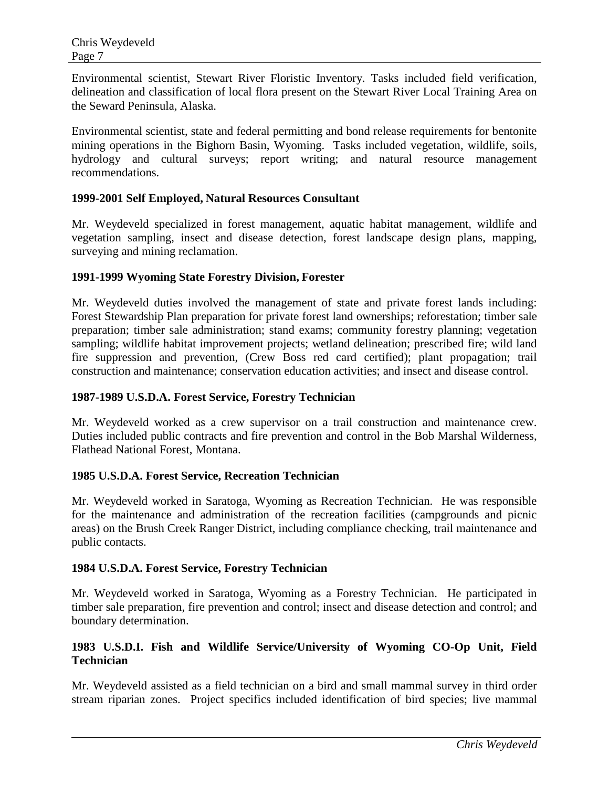Environmental scientist, Stewart River Floristic Inventory. Tasks included field verification, delineation and classification of local flora present on the Stewart River Local Training Area on the Seward Peninsula, Alaska.

Environmental scientist, state and federal permitting and bond release requirements for bentonite mining operations in the Bighorn Basin, Wyoming. Tasks included vegetation, wildlife, soils, hydrology and cultural surveys; report writing; and natural resource management recommendations.

### **1999-2001 Self Employed, Natural Resources Consultant**

Mr. Weydeveld specialized in forest management, aquatic habitat management, wildlife and vegetation sampling, insect and disease detection, forest landscape design plans, mapping, surveying and mining reclamation.

### **1991-1999 Wyoming State Forestry Division, Forester**

Mr. Weydeveld duties involved the management of state and private forest lands including: Forest Stewardship Plan preparation for private forest land ownerships; reforestation; timber sale preparation; timber sale administration; stand exams; community forestry planning; vegetation sampling; wildlife habitat improvement projects; wetland delineation; prescribed fire; wild land fire suppression and prevention, (Crew Boss red card certified); plant propagation; trail construction and maintenance; conservation education activities; and insect and disease control.

### **1987-1989 U.S.D.A. Forest Service, Forestry Technician**

Mr. Weydeveld worked as a crew supervisor on a trail construction and maintenance crew. Duties included public contracts and fire prevention and control in the Bob Marshal Wilderness, Flathead National Forest, Montana.

#### **1985 U.S.D.A. Forest Service, Recreation Technician**

Mr. Weydeveld worked in Saratoga, Wyoming as Recreation Technician. He was responsible for the maintenance and administration of the recreation facilities (campgrounds and picnic areas) on the Brush Creek Ranger District, including compliance checking, trail maintenance and public contacts.

#### **1984 U.S.D.A. Forest Service, Forestry Technician**

Mr. Weydeveld worked in Saratoga, Wyoming as a Forestry Technician. He participated in timber sale preparation, fire prevention and control; insect and disease detection and control; and boundary determination.

# **1983 U.S.D.I. Fish and Wildlife Service/University of Wyoming CO-Op Unit, Field Technician**

Mr. Weydeveld assisted as a field technician on a bird and small mammal survey in third order stream riparian zones. Project specifics included identification of bird species; live mammal